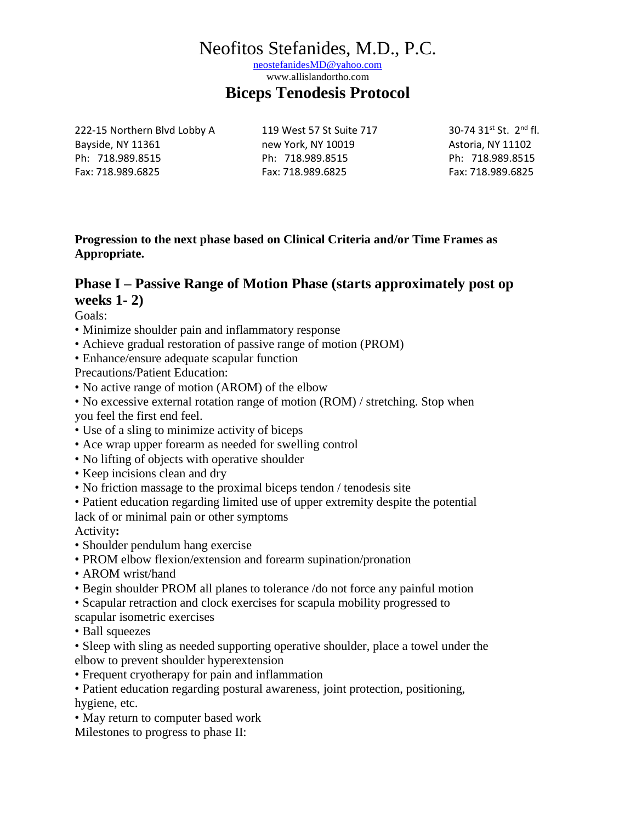[neostefanidesMD@yahoo.com](mailto:neostefanidesMD@yahoo.com)

www.allislandortho.com

#### **Biceps Tenodesis Protocol**

222-15 Northern Blvd Lobby A 119 West 57 St Suite 717 30-74 31st St. 2<sup>nd</sup> fl. Bayside, NY 11361 hew York, NY 10019 here as a storia, NY 11102 Ph: 718.989.8515 Ph: 718.989.8515 Ph: 718.989.8515 Fax: 718.989.6825 Fax: 718.989.6825 Fax: 718.989.6825

**Progression to the next phase based on Clinical Criteria and/or Time Frames as Appropriate.**

#### **Phase I – Passive Range of Motion Phase (starts approximately post op weeks 1- 2)**

Goals:

- Minimize shoulder pain and inflammatory response
- Achieve gradual restoration of passive range of motion (PROM)
- Enhance/ensure adequate scapular function
- Precautions/Patient Education:
- No active range of motion (AROM) of the elbow
- No excessive external rotation range of motion (ROM) / stretching. Stop when you feel the first end feel.
- Use of a sling to minimize activity of biceps
- Ace wrap upper forearm as needed for swelling control
- No lifting of objects with operative shoulder
- Keep incisions clean and dry
- No friction massage to the proximal biceps tendon / tenodesis site
- Patient education regarding limited use of upper extremity despite the potential lack of or minimal pain or other symptoms

Activity**:**

- Shoulder pendulum hang exercise
- PROM elbow flexion/extension and forearm supination/pronation
- AROM wrist/hand
- Begin shoulder PROM all planes to tolerance /do not force any painful motion
- Scapular retraction and clock exercises for scapula mobility progressed to
- scapular isometric exercises
- Ball squeezes
- Sleep with sling as needed supporting operative shoulder, place a towel under the elbow to prevent shoulder hyperextension
- Frequent cryotherapy for pain and inflammation
- Patient education regarding postural awareness, joint protection, positioning, hygiene, etc.
- May return to computer based work
- Milestones to progress to phase II: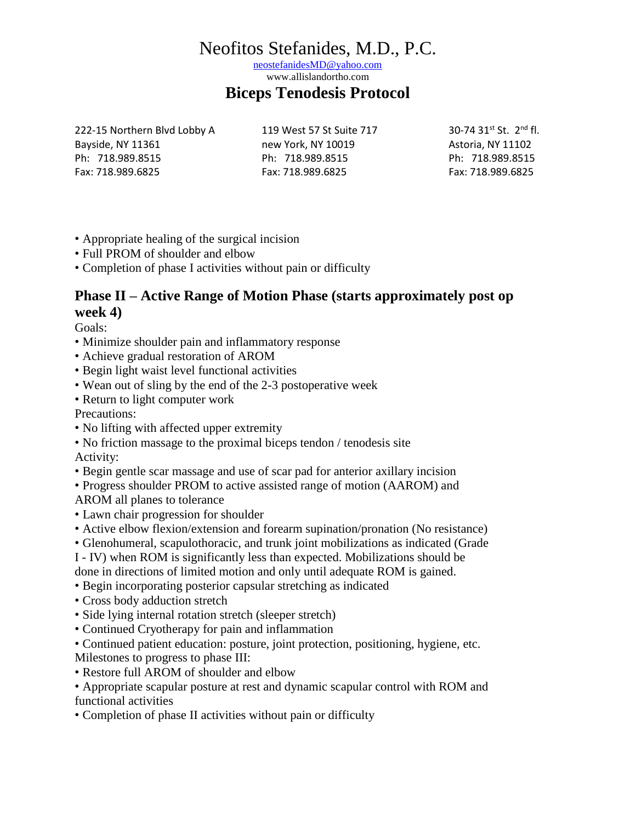[neostefanidesMD@yahoo.com](mailto:neostefanidesMD@yahoo.com)

www.allislandortho.com

#### **Biceps Tenodesis Protocol**

222-15 Northern Blvd Lobby A 119 West 57 St Suite 717 30-74 31st St. 2nd fl. Bayside, NY 11361 hew York, NY 10019 here as a storia, NY 11102 Ph: 718.989.8515 Ph: 718.989.8515 Ph: 718.989.8515 Fax: 718.989.6825 Fax: 718.989.6825 Fax: 718.989.6825

- Appropriate healing of the surgical incision
- Full PROM of shoulder and elbow
- Completion of phase I activities without pain or difficulty

### **Phase II – Active Range of Motion Phase (starts approximately post op week 4)**

Goals:

- Minimize shoulder pain and inflammatory response
- Achieve gradual restoration of AROM
- Begin light waist level functional activities
- Wean out of sling by the end of the 2-3 postoperative week
- Return to light computer work

Precautions:

- No lifting with affected upper extremity
- No friction massage to the proximal biceps tendon / tenodesis site Activity:
- Begin gentle scar massage and use of scar pad for anterior axillary incision
- Progress shoulder PROM to active assisted range of motion (AAROM) and
- AROM all planes to tolerance
- Lawn chair progression for shoulder
- Active elbow flexion/extension and forearm supination/pronation (No resistance)
- Glenohumeral, scapulothoracic, and trunk joint mobilizations as indicated (Grade
- I IV) when ROM is significantly less than expected. Mobilizations should be

done in directions of limited motion and only until adequate ROM is gained.

- Begin incorporating posterior capsular stretching as indicated
- Cross body adduction stretch
- Side lying internal rotation stretch (sleeper stretch)
- Continued Cryotherapy for pain and inflammation
- Continued patient education: posture, joint protection, positioning, hygiene, etc. Milestones to progress to phase III:
- Restore full AROM of shoulder and elbow
- Appropriate scapular posture at rest and dynamic scapular control with ROM and functional activities
- Completion of phase II activities without pain or difficulty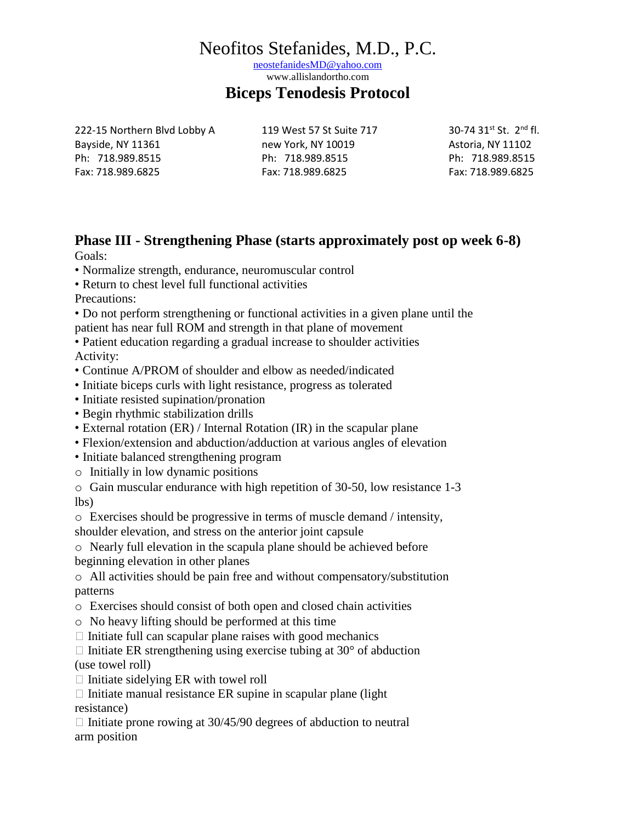[neostefanidesMD@yahoo.com](mailto:neostefanidesMD@yahoo.com)

www.allislandortho.com

#### **Biceps Tenodesis Protocol**

222-15 Northern Blvd Lobby A 119 West 57 St Suite 717 30-74 31st St. 2<sup>nd</sup> fl. Bayside, NY 11361 https://www.mew York, NY 10019 https://www.mew.com/2019 https://www.mew.mew.york. Ph: 718.989.8515 Ph: 718.989.8515 Ph: 718.989.8515 Fax: 718.989.6825 Fax: 718.989.6825 Fax: 718.989.6825

#### **Phase III - Strengthening Phase (starts approximately post op week 6-8)** Goals:

• Normalize strength, endurance, neuromuscular control

• Return to chest level full functional activities

Precautions:

• Do not perform strengthening or functional activities in a given plane until the patient has near full ROM and strength in that plane of movement

• Patient education regarding a gradual increase to shoulder activities Activity:

- Continue A/PROM of shoulder and elbow as needed/indicated
- Initiate biceps curls with light resistance, progress as tolerated
- Initiate resisted supination/pronation
- Begin rhythmic stabilization drills
- External rotation (ER) / Internal Rotation (IR) in the scapular plane
- Flexion/extension and abduction/adduction at various angles of elevation
- Initiate balanced strengthening program
- o Initially in low dynamic positions

o Gain muscular endurance with high repetition of 30-50, low resistance 1-3 lbs)

o Exercises should be progressive in terms of muscle demand / intensity, shoulder elevation, and stress on the anterior joint capsule

o Nearly full elevation in the scapula plane should be achieved before beginning elevation in other planes

o All activities should be pain free and without compensatory/substitution patterns

- o Exercises should consist of both open and closed chain activities
- o No heavy lifting should be performed at this time
- $\Box$  Initiate full can scapular plane raises with good mechanics

 $\Box$  Initiate ER strengthening using exercise tubing at 30 $\degree$  of abduction (use towel roll)

 $\Box$  Initiate sidelying ER with towel roll

 $\Box$  Initiate manual resistance ER supine in scapular plane (light resistance)

 $\Box$  Initiate prone rowing at 30/45/90 degrees of abduction to neutral arm position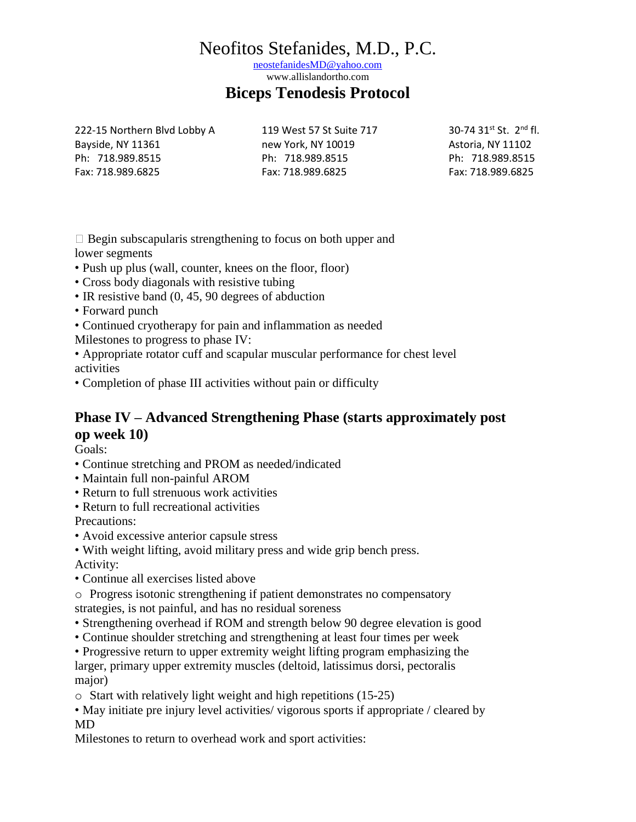[neostefanidesMD@yahoo.com](mailto:neostefanidesMD@yahoo.com)

www.allislandortho.com

#### **Biceps Tenodesis Protocol**

222-15 Northern Blvd Lobby A 119 West 57 St Suite 717 30-74 31st St. 2<sup>nd</sup> fl. Bayside, NY 11361 https://www.mew York, NY 10019 https://www.mew.com/2019 https://www.mew.mew.york. Ph: 718.989.8515 Ph: 718.989.8515 Ph: 718.989.8515 Fax: 718.989.6825 Fax: 718.989.6825 Fax: 718.989.6825

 $\Box$  Begin subscapularis strengthening to focus on both upper and lower segments

- Push up plus (wall, counter, knees on the floor, floor)
- Cross body diagonals with resistive tubing
- IR resistive band (0, 45, 90 degrees of abduction
- Forward punch
- Continued cryotherapy for pain and inflammation as needed
- Milestones to progress to phase IV:

• Appropriate rotator cuff and scapular muscular performance for chest level activities

• Completion of phase III activities without pain or difficulty

### **Phase IV – Advanced Strengthening Phase (starts approximately post op week 10)**

Goals:

- Continue stretching and PROM as needed/indicated
- Maintain full non-painful AROM
- Return to full strenuous work activities
- Return to full recreational activities

Precautions:

- Avoid excessive anterior capsule stress
- With weight lifting, avoid military press and wide grip bench press.
- Activity:
- Continue all exercises listed above

o Progress isotonic strengthening if patient demonstrates no compensatory strategies, is not painful, and has no residual soreness

- Strengthening overhead if ROM and strength below 90 degree elevation is good
- Continue shoulder stretching and strengthening at least four times per week

• Progressive return to upper extremity weight lifting program emphasizing the larger, primary upper extremity muscles (deltoid, latissimus dorsi, pectoralis major)

o Start with relatively light weight and high repetitions (15-25)

• May initiate pre injury level activities/ vigorous sports if appropriate / cleared by MD

Milestones to return to overhead work and sport activities: